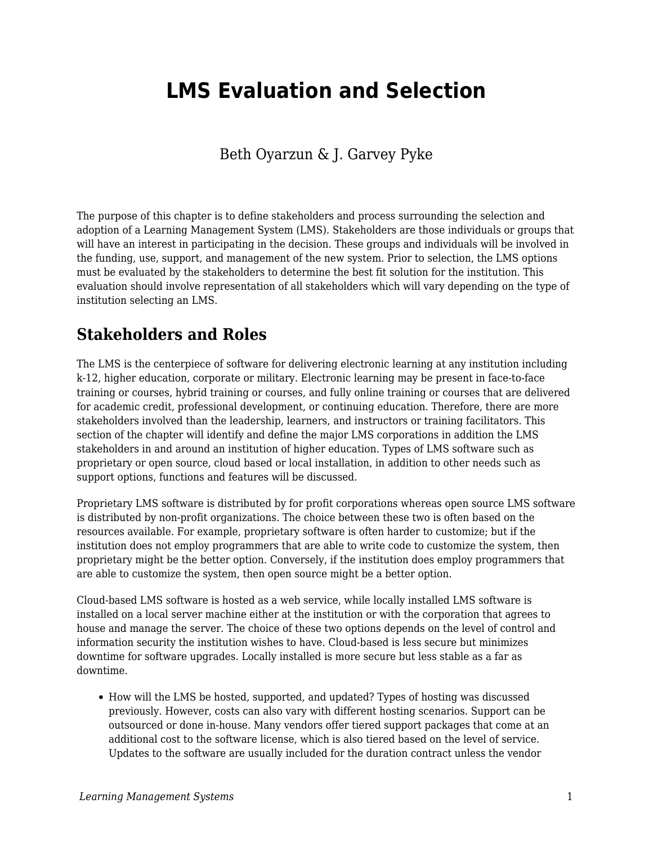# **LMS Evaluation and Selection**

Beth Oyarzun & J. Garvey Pyke

The purpose of this chapter is to define stakeholders and process surrounding the selection and adoption of a Learning Management System (LMS). Stakeholders are those individuals or groups that will have an interest in participating in the decision. These groups and individuals will be involved in the funding, use, support, and management of the new system. Prior to selection, the LMS options must be evaluated by the stakeholders to determine the best fit solution for the institution. This evaluation should involve representation of all stakeholders which will vary depending on the type of institution selecting an LMS.

# **Stakeholders and Roles**

The LMS is the centerpiece of software for delivering electronic learning at any institution including k-12, higher education, corporate or military. Electronic learning may be present in face-to-face training or courses, hybrid training or courses, and fully online training or courses that are delivered for academic credit, professional development, or continuing education. Therefore, there are more stakeholders involved than the leadership, learners, and instructors or training facilitators. This section of the chapter will identify and define the major LMS corporations in addition the LMS stakeholders in and around an institution of higher education. Types of LMS software such as proprietary or open source, cloud based or local installation, in addition to other needs such as support options, functions and features will be discussed.

Proprietary LMS software is distributed by for profit corporations whereas open source LMS software is distributed by non-profit organizations. The choice between these two is often based on the resources available. For example, proprietary software is often harder to customize; but if the institution does not employ programmers that are able to write code to customize the system, then proprietary might be the better option. Conversely, if the institution does employ programmers that are able to customize the system, then open source might be a better option.

Cloud-based LMS software is hosted as a web service, while locally installed LMS software is installed on a local server machine either at the institution or with the corporation that agrees to house and manage the server. The choice of these two options depends on the level of control and information security the institution wishes to have. Cloud-based is less secure but minimizes downtime for software upgrades. Locally installed is more secure but less stable as a far as downtime.

• How will the LMS be hosted, supported, and updated? Types of hosting was discussed previously. However, costs can also vary with different hosting scenarios. Support can be outsourced or done in-house. Many vendors offer tiered support packages that come at an additional cost to the software license, which is also tiered based on the level of service. Updates to the software are usually included for the duration contract unless the vendor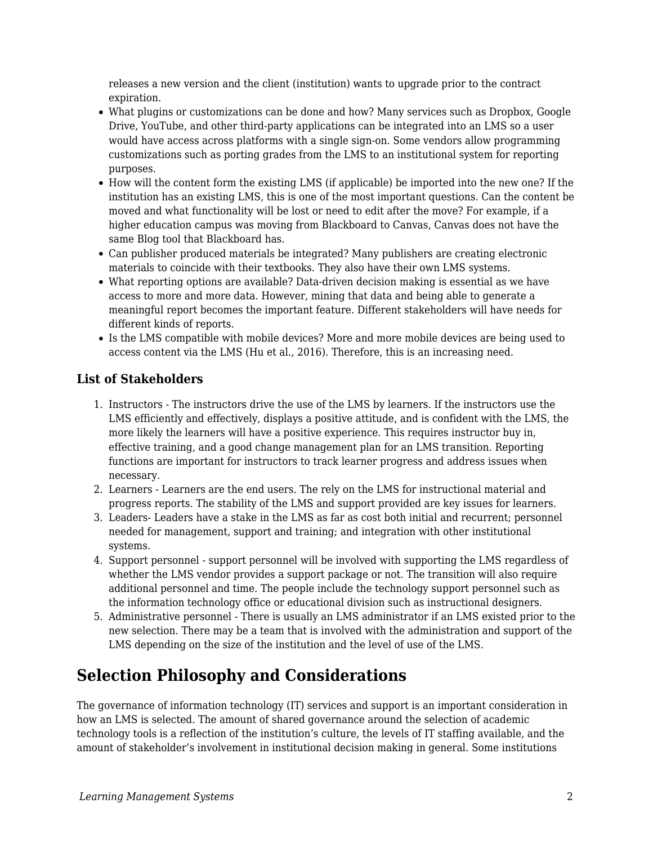releases a new version and the client (institution) wants to upgrade prior to the contract expiration.

- What plugins or customizations can be done and how? Many services such as Dropbox, Google Drive, YouTube, and other third-party applications can be integrated into an LMS so a user would have access across platforms with a single sign-on. Some vendors allow programming customizations such as porting grades from the LMS to an institutional system for reporting purposes.
- How will the content form the existing LMS (if applicable) be imported into the new one? If the institution has an existing LMS, this is one of the most important questions. Can the content be moved and what functionality will be lost or need to edit after the move? For example, if a higher education campus was moving from Blackboard to Canvas, Canvas does not have the same Blog tool that Blackboard has.
- Can publisher produced materials be integrated? Many publishers are creating electronic materials to coincide with their textbooks. They also have their own LMS systems.
- What reporting options are available? Data-driven decision making is essential as we have access to more and more data. However, mining that data and being able to generate a meaningful report becomes the important feature. Different stakeholders will have needs for different kinds of reports.
- Is the LMS compatible with mobile devices? More and more mobile devices are being used to access content via the LMS (Hu et al., 2016). Therefore, this is an increasing need.

#### **List of Stakeholders**

- 1. Instructors The instructors drive the use of the LMS by learners. If the instructors use the LMS efficiently and effectively, displays a positive attitude, and is confident with the LMS, the more likely the learners will have a positive experience. This requires instructor buy in, effective training, and a good change management plan for an LMS transition. Reporting functions are important for instructors to track learner progress and address issues when necessary.
- 2. Learners Learners are the end users. The rely on the LMS for instructional material and progress reports. The stability of the LMS and support provided are key issues for learners.
- 3. Leaders- Leaders have a stake in the LMS as far as cost both initial and recurrent; personnel needed for management, support and training; and integration with other institutional systems.
- 4. Support personnel support personnel will be involved with supporting the LMS regardless of whether the LMS vendor provides a support package or not. The transition will also require additional personnel and time. The people include the technology support personnel such as the information technology office or educational division such as instructional designers.
- 5. Administrative personnel There is usually an LMS administrator if an LMS existed prior to the new selection. There may be a team that is involved with the administration and support of the LMS depending on the size of the institution and the level of use of the LMS.

# **Selection Philosophy and Considerations**

The governance of information technology (IT) services and support is an important consideration in how an LMS is selected. The amount of shared governance around the selection of academic technology tools is a reflection of the institution's culture, the levels of IT staffing available, and the amount of stakeholder's involvement in institutional decision making in general. Some institutions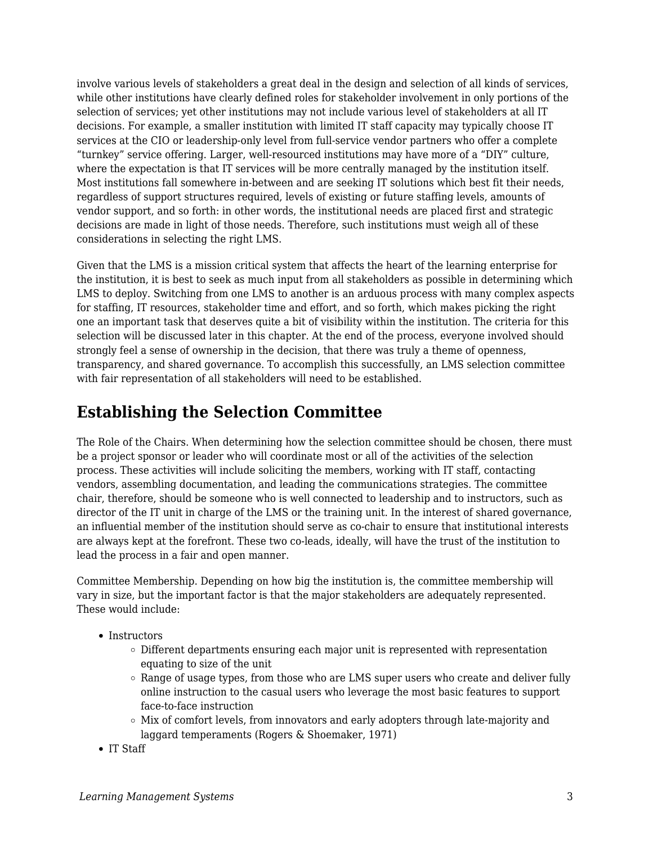involve various levels of stakeholders a great deal in the design and selection of all kinds of services, while other institutions have clearly defined roles for stakeholder involvement in only portions of the selection of services; yet other institutions may not include various level of stakeholders at all IT decisions. For example, a smaller institution with limited IT staff capacity may typically choose IT services at the CIO or leadership-only level from full-service vendor partners who offer a complete "turnkey" service offering. Larger, well-resourced institutions may have more of a "DIY" culture, where the expectation is that IT services will be more centrally managed by the institution itself. Most institutions fall somewhere in-between and are seeking IT solutions which best fit their needs, regardless of support structures required, levels of existing or future staffing levels, amounts of vendor support, and so forth: in other words, the institutional needs are placed first and strategic decisions are made in light of those needs. Therefore, such institutions must weigh all of these considerations in selecting the right LMS.

Given that the LMS is a mission critical system that affects the heart of the learning enterprise for the institution, it is best to seek as much input from all stakeholders as possible in determining which LMS to deploy. Switching from one LMS to another is an arduous process with many complex aspects for staffing, IT resources, stakeholder time and effort, and so forth, which makes picking the right one an important task that deserves quite a bit of visibility within the institution. The criteria for this selection will be discussed later in this chapter. At the end of the process, everyone involved should strongly feel a sense of ownership in the decision, that there was truly a theme of openness, transparency, and shared governance. To accomplish this successfully, an LMS selection committee with fair representation of all stakeholders will need to be established.

### **Establishing the Selection Committee**

The Role of the Chairs. When determining how the selection committee should be chosen, there must be a project sponsor or leader who will coordinate most or all of the activities of the selection process. These activities will include soliciting the members, working with IT staff, contacting vendors, assembling documentation, and leading the communications strategies. The committee chair, therefore, should be someone who is well connected to leadership and to instructors, such as director of the IT unit in charge of the LMS or the training unit. In the interest of shared governance, an influential member of the institution should serve as co-chair to ensure that institutional interests are always kept at the forefront. These two co-leads, ideally, will have the trust of the institution to lead the process in a fair and open manner.

Committee Membership. Depending on how big the institution is, the committee membership will vary in size, but the important factor is that the major stakeholders are adequately represented. These would include:

- Instructors
	- $\circ$  Different departments ensuring each major unit is represented with representation equating to size of the unit
	- $\circ$  Range of usage types, from those who are LMS super users who create and deliver fully online instruction to the casual users who leverage the most basic features to support face-to-face instruction
	- o Mix of comfort levels, from innovators and early adopters through late-majority and laggard temperaments (Rogers & Shoemaker, 1971)
- IT Staff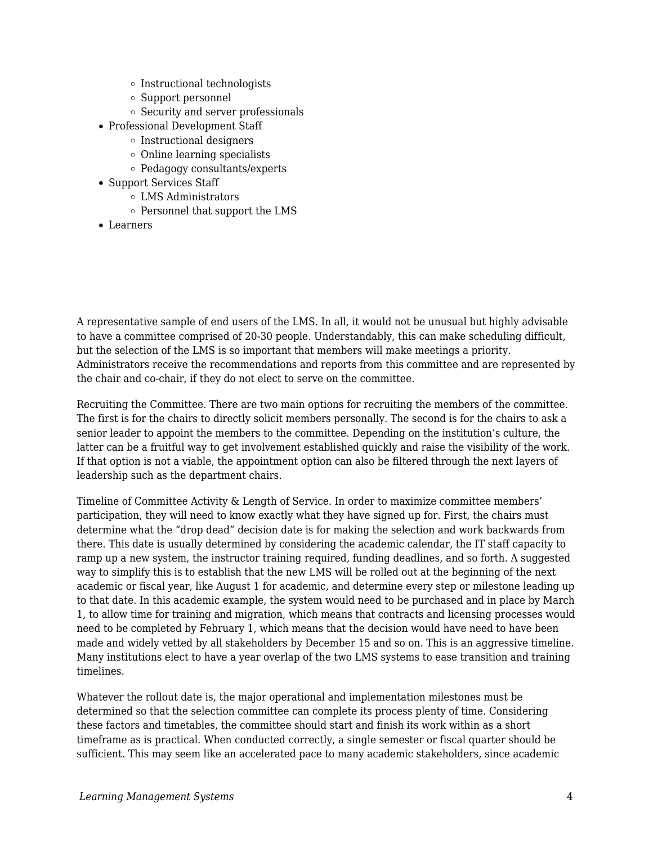- o Instructional technologists
- Support personnel
- $\circ$  Security and server professionals
- Professional Development Staff
	- $\circ$  Instructional designers
	- $\circ$  Online learning specialists
	- Pedagogy consultants/experts
- Support Services Staff
	- LMS Administrators
	- $\circ$  Personnel that support the LMS
- Learners

A representative sample of end users of the LMS. In all, it would not be unusual but highly advisable to have a committee comprised of 20-30 people. Understandably, this can make scheduling difficult, but the selection of the LMS is so important that members will make meetings a priority. Administrators receive the recommendations and reports from this committee and are represented by the chair and co-chair, if they do not elect to serve on the committee.

Recruiting the Committee. There are two main options for recruiting the members of the committee. The first is for the chairs to directly solicit members personally. The second is for the chairs to ask a senior leader to appoint the members to the committee. Depending on the institution's culture, the latter can be a fruitful way to get involvement established quickly and raise the visibility of the work. If that option is not a viable, the appointment option can also be filtered through the next layers of leadership such as the department chairs.

Timeline of Committee Activity & Length of Service. In order to maximize committee members' participation, they will need to know exactly what they have signed up for. First, the chairs must determine what the "drop dead" decision date is for making the selection and work backwards from there. This date is usually determined by considering the academic calendar, the IT staff capacity to ramp up a new system, the instructor training required, funding deadlines, and so forth. A suggested way to simplify this is to establish that the new LMS will be rolled out at the beginning of the next academic or fiscal year, like August 1 for academic, and determine every step or milestone leading up to that date. In this academic example, the system would need to be purchased and in place by March 1, to allow time for training and migration, which means that contracts and licensing processes would need to be completed by February 1, which means that the decision would have need to have been made and widely vetted by all stakeholders by December 15 and so on. This is an aggressive timeline. Many institutions elect to have a year overlap of the two LMS systems to ease transition and training timelines.

Whatever the rollout date is, the major operational and implementation milestones must be determined so that the selection committee can complete its process plenty of time. Considering these factors and timetables, the committee should start and finish its work within as a short timeframe as is practical. When conducted correctly, a single semester or fiscal quarter should be sufficient. This may seem like an accelerated pace to many academic stakeholders, since academic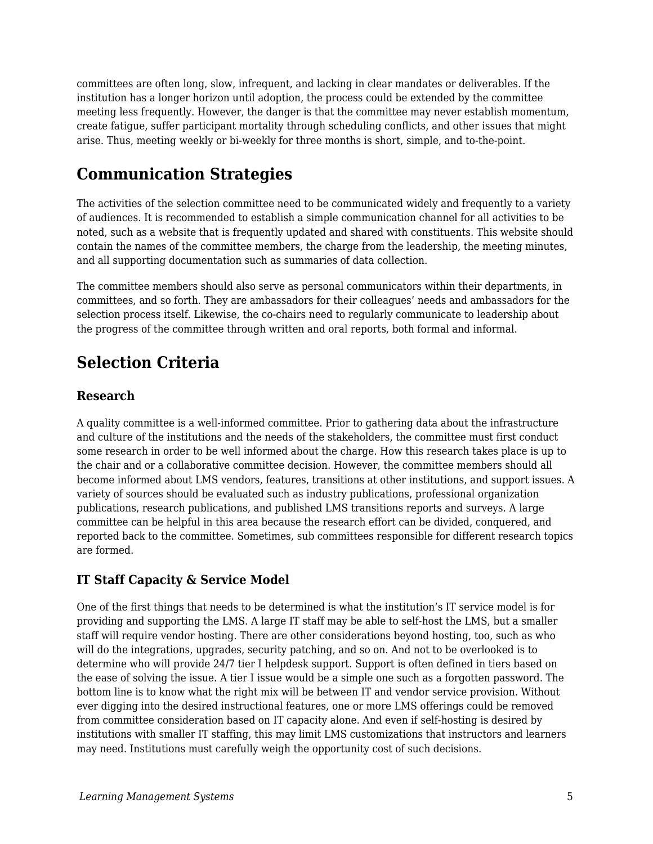committees are often long, slow, infrequent, and lacking in clear mandates or deliverables. If the institution has a longer horizon until adoption, the process could be extended by the committee meeting less frequently. However, the danger is that the committee may never establish momentum, create fatigue, suffer participant mortality through scheduling conflicts, and other issues that might arise. Thus, meeting weekly or bi-weekly for three months is short, simple, and to-the-point.

# **Communication Strategies**

The activities of the selection committee need to be communicated widely and frequently to a variety of audiences. It is recommended to establish a simple communication channel for all activities to be noted, such as a website that is frequently updated and shared with constituents. This website should contain the names of the committee members, the charge from the leadership, the meeting minutes, and all supporting documentation such as summaries of data collection.

The committee members should also serve as personal communicators within their departments, in committees, and so forth. They are ambassadors for their colleagues' needs and ambassadors for the selection process itself. Likewise, the co-chairs need to regularly communicate to leadership about the progress of the committee through written and oral reports, both formal and informal.

# **Selection Criteria**

#### **Research**

A quality committee is a well-informed committee. Prior to gathering data about the infrastructure and culture of the institutions and the needs of the stakeholders, the committee must first conduct some research in order to be well informed about the charge. How this research takes place is up to the chair and or a collaborative committee decision. However, the committee members should all become informed about LMS vendors, features, transitions at other institutions, and support issues. A variety of sources should be evaluated such as industry publications, professional organization publications, research publications, and published LMS transitions reports and surveys. A large committee can be helpful in this area because the research effort can be divided, conquered, and reported back to the committee. Sometimes, sub committees responsible for different research topics are formed.

#### **IT Staff Capacity & Service Model**

One of the first things that needs to be determined is what the institution's IT service model is for providing and supporting the LMS. A large IT staff may be able to self-host the LMS, but a smaller staff will require vendor hosting. There are other considerations beyond hosting, too, such as who will do the integrations, upgrades, security patching, and so on. And not to be overlooked is to determine who will provide 24/7 tier I helpdesk support. Support is often defined in tiers based on the ease of solving the issue. A tier I issue would be a simple one such as a forgotten password. The bottom line is to know what the right mix will be between IT and vendor service provision. Without ever digging into the desired instructional features, one or more LMS offerings could be removed from committee consideration based on IT capacity alone. And even if self-hosting is desired by institutions with smaller IT staffing, this may limit LMS customizations that instructors and learners may need. Institutions must carefully weigh the opportunity cost of such decisions.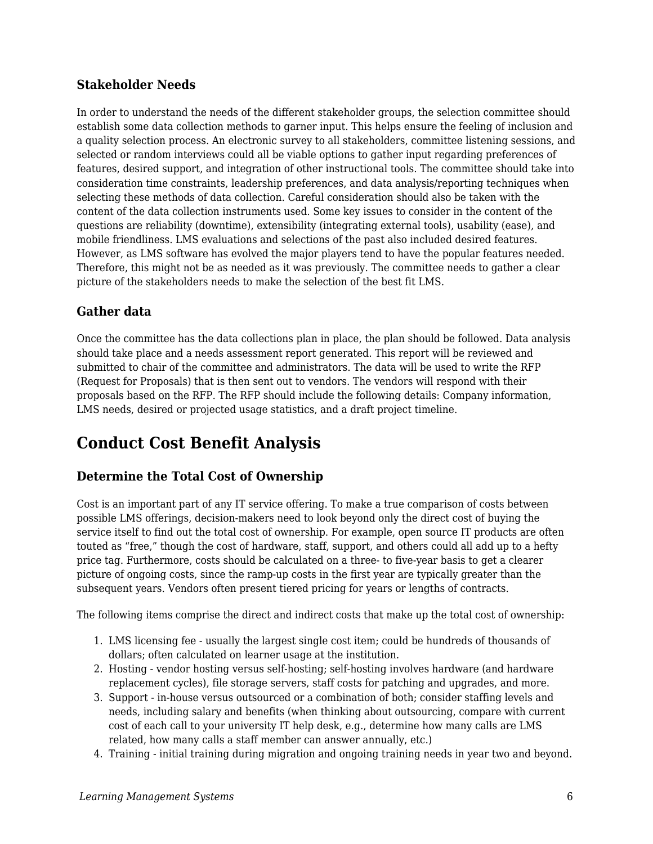#### **Stakeholder Needs**

In order to understand the needs of the different stakeholder groups, the selection committee should establish some data collection methods to garner input. This helps ensure the feeling of inclusion and a quality selection process. An electronic survey to all stakeholders, committee listening sessions, and selected or random interviews could all be viable options to gather input regarding preferences of features, desired support, and integration of other instructional tools. The committee should take into consideration time constraints, leadership preferences, and data analysis/reporting techniques when selecting these methods of data collection. Careful consideration should also be taken with the content of the data collection instruments used. Some key issues to consider in the content of the questions are reliability (downtime), extensibility (integrating external tools), usability (ease), and mobile friendliness. LMS evaluations and selections of the past also included desired features. However, as LMS software has evolved the major players tend to have the popular features needed. Therefore, this might not be as needed as it was previously. The committee needs to gather a clear picture of the stakeholders needs to make the selection of the best fit LMS.

#### **Gather data**

Once the committee has the data collections plan in place, the plan should be followed. Data analysis should take place and a needs assessment report generated. This report will be reviewed and submitted to chair of the committee and administrators. The data will be used to write the RFP (Request for Proposals) that is then sent out to vendors. The vendors will respond with their proposals based on the RFP. The RFP should include the following details: Company information, LMS needs, desired or projected usage statistics, and a draft project timeline.

# **Conduct Cost Benefit Analysis**

#### **Determine the Total Cost of Ownership**

Cost is an important part of any IT service offering. To make a true comparison of costs between possible LMS offerings, decision-makers need to look beyond only the direct cost of buying the service itself to find out the total cost of ownership. For example, open source IT products are often touted as "free," though the cost of hardware, staff, support, and others could all add up to a hefty price tag. Furthermore, costs should be calculated on a three- to five-year basis to get a clearer picture of ongoing costs, since the ramp-up costs in the first year are typically greater than the subsequent years. Vendors often present tiered pricing for years or lengths of contracts.

The following items comprise the direct and indirect costs that make up the total cost of ownership:

- 1. LMS licensing fee usually the largest single cost item; could be hundreds of thousands of dollars; often calculated on learner usage at the institution.
- 2. Hosting vendor hosting versus self-hosting; self-hosting involves hardware (and hardware replacement cycles), file storage servers, staff costs for patching and upgrades, and more.
- 3. Support in-house versus outsourced or a combination of both; consider staffing levels and needs, including salary and benefits (when thinking about outsourcing, compare with current cost of each call to your university IT help desk, e.g., determine how many calls are LMS related, how many calls a staff member can answer annually, etc.)
- 4. Training initial training during migration and ongoing training needs in year two and beyond.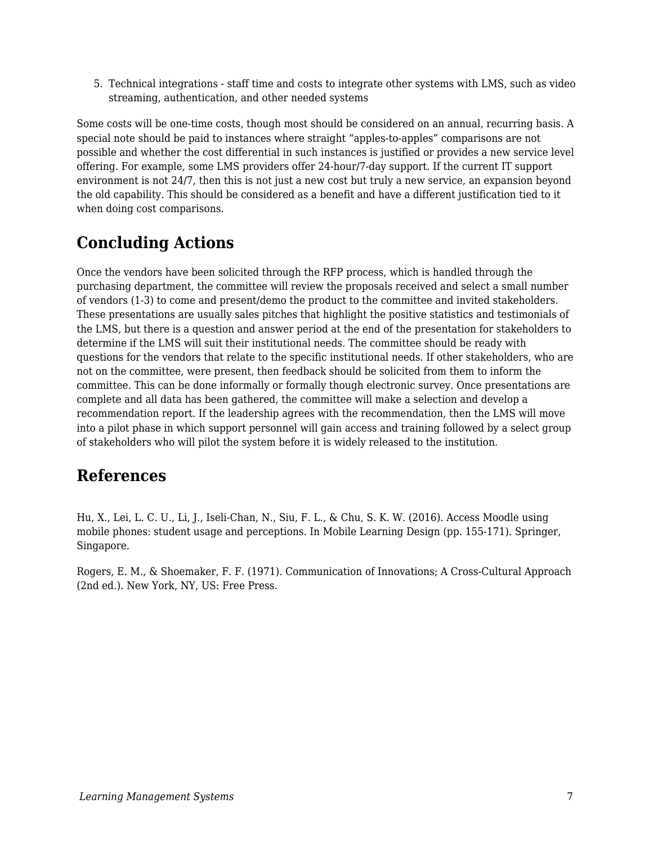5. Technical integrations - staff time and costs to integrate other systems with LMS, such as video streaming, authentication, and other needed systems

Some costs will be one-time costs, though most should be considered on an annual, recurring basis. A special note should be paid to instances where straight "apples-to-apples" comparisons are not possible and whether the cost differential in such instances is justified or provides a new service level offering. For example, some LMS providers offer 24-hour/7-day support. If the current IT support environment is not 24/7, then this is not just a new cost but truly a new service, an expansion beyond the old capability. This should be considered as a benefit and have a different justification tied to it when doing cost comparisons.

# **Concluding Actions**

Once the vendors have been solicited through the RFP process, which is handled through the purchasing department, the committee will review the proposals received and select a small number of vendors (1-3) to come and present/demo the product to the committee and invited stakeholders. These presentations are usually sales pitches that highlight the positive statistics and testimonials of the LMS, but there is a question and answer period at the end of the presentation for stakeholders to determine if the LMS will suit their institutional needs. The committee should be ready with questions for the vendors that relate to the specific institutional needs. If other stakeholders, who are not on the committee, were present, then feedback should be solicited from them to inform the committee. This can be done informally or formally though electronic survey. Once presentations are complete and all data has been gathered, the committee will make a selection and develop a recommendation report. If the leadership agrees with the recommendation, then the LMS will move into a pilot phase in which support personnel will gain access and training followed by a select group of stakeholders who will pilot the system before it is widely released to the institution.

# **References**

Hu, X., Lei, L. C. U., Li, J., Iseli-Chan, N., Siu, F. L., & Chu, S. K. W. (2016). Access Moodle using mobile phones: student usage and perceptions. In Mobile Learning Design (pp. 155-171). Springer, Singapore.

Rogers, E. M., & Shoemaker, F. F. (1971). Communication of Innovations; A Cross-Cultural Approach (2nd ed.). New York, NY, US: Free Press.